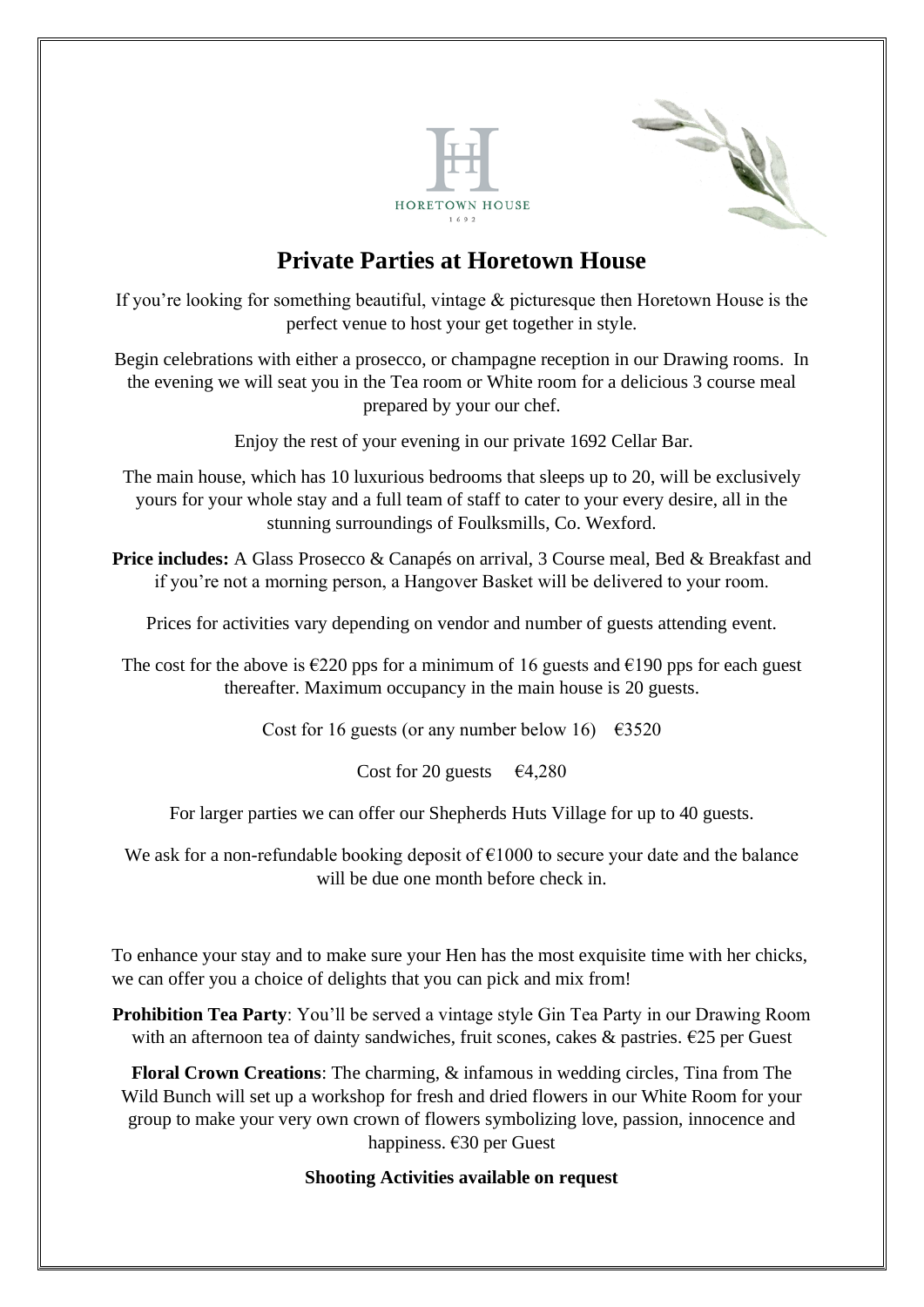



If you're looking for something beautiful, vintage & picturesque then Horetown House is the perfect venue to host your get together in style.

Begin celebrations with either a prosecco, or champagne reception in our Drawing rooms. In the evening we will seat you in the Tea room or White room for a delicious 3 course meal prepared by your our chef.

Enjoy the rest of your evening in our private 1692 Cellar Bar.

The main house, which has 10 luxurious bedrooms that sleeps up to 20, will be exclusively yours for your whole stay and a full team of staff to cater to your every desire, all in the stunning surroundings of Foulksmills, Co. Wexford.

**Price includes:** A Glass Prosecco & Canapés on arrival, 3 Course meal, Bed & Breakfast and if you're not a morning person, a Hangover Basket will be delivered to your room.

Prices for activities vary depending on vendor and number of guests attending event.

The cost for the above is  $\epsilon$ 220 pps for a minimum of 16 guests and  $\epsilon$ 190 pps for each guest thereafter. Maximum occupancy in the main house is 20 guests.

Cost for 16 guests (or any number below 16)  $\epsilon$ 3520

Cost for 20 guests  $\epsilon$ 4,280

For larger parties we can offer our Shepherds Huts Village for up to 40 guests.

We ask for a non-refundable booking deposit of  $\epsilon$ 1000 to secure your date and the balance will be due one month before check in.

To enhance your stay and to make sure your Hen has the most exquisite time with her chicks, we can offer you a choice of delights that you can pick and mix from!

**Prohibition Tea Party**: You'll be served a vintage style Gin Tea Party in our Drawing Room with an afternoon tea of dainty sandwiches, fruit scones, cakes & pastries.  $\epsilon$ 25 per Guest

**Floral Crown Creations**: The charming, & infamous in wedding circles, Tina from The Wild Bunch will set up a workshop for fresh and dried flowers in our White Room for your group to make your very own crown of flowers symbolizing love, passion, innocence and happiness. €30 per Guest

**Shooting Activities available on request**